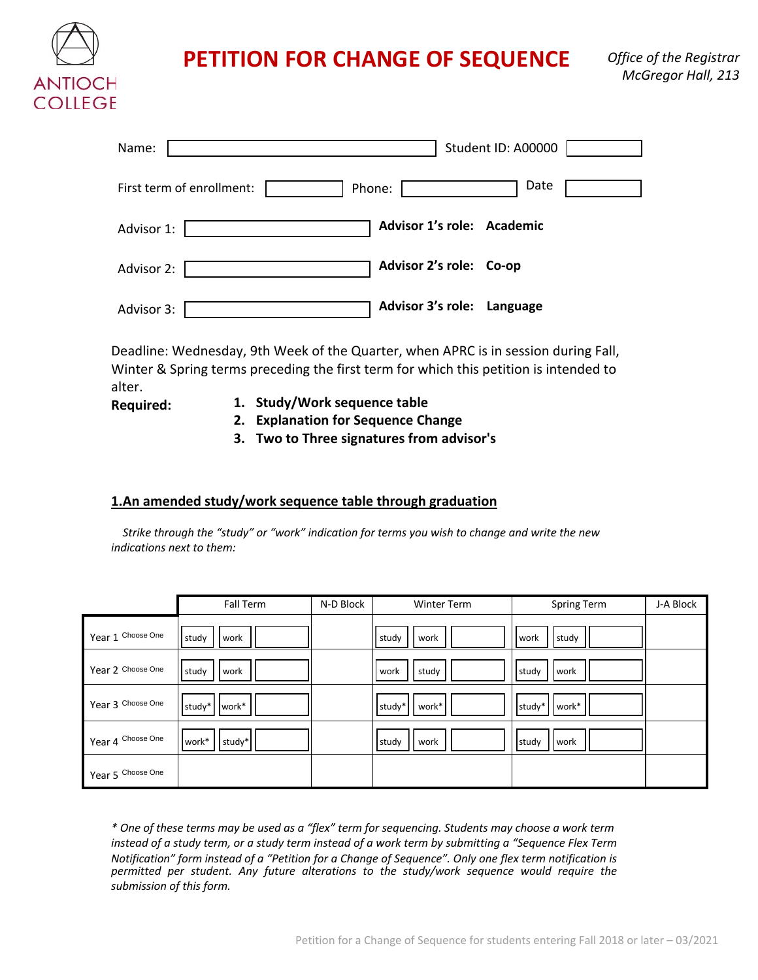

# **PETITION FOR CHANGE OF SEQUENCE**

| Name:                     | Student ID: A00000         |
|---------------------------|----------------------------|
| First term of enrollment: | Date<br>Phone:             |
| Advisor 1:                | Advisor 1's role: Academic |
| Advisor 2:                | Advisor 2's role: Co-op    |
| Advisor 3:                | Advisor 3's role: Language |

Deadline: Wednesday, 9th Week of the Quarter, when APRC is in session during Fall, Winter & Spring terms preceding the first term for which this petition is intended to alter.

- **Required: 1. Study/Work sequence table**
	- **2. Explanation for Sequence Change**
	- **3. Two to Three signatures from advisor's**

## **1.An amended study/work sequence table through graduation**

*Strike through the "study" or "work" indication for terms you wish to change and write the new indications next to them:*

|                   | Fall Term       | N-D Block | <b>Winter Term</b> | Spring Term     | J-A Block |
|-------------------|-----------------|-----------|--------------------|-----------------|-----------|
| Year 1 Choose One | study<br>work   |           | study<br>work      | study<br>work   |           |
| Year 2 Choose One | study<br>work   |           | study<br>work      | work<br>study   |           |
| Year 3 Choose One | study*   work*  |           | work*<br>study*    | work*<br>study* |           |
| Year 4 Choose One | work*<br>study* |           | work<br>study      | work<br>study   |           |
| Year 5 Choose One |                 |           |                    |                 |           |

*\* One of these terms may be used as a "flex" term for sequencing. Students may choose a work term instead of a study term, or a study term instead of a work term by submitting a "Sequence Flex Term Notification" form instead of a "Petition for a Change of Sequence". Only one flex term notification is permitted per student. Any future alterations to the study/work sequence would require the submission of this form.*